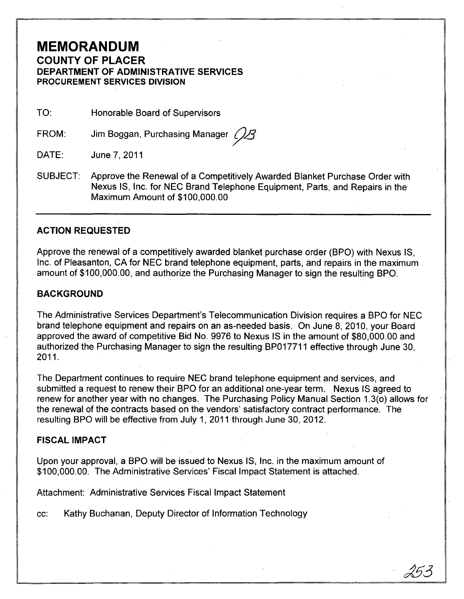## **MEMORANDUM COUNTY OF PLACER DEPARTMENT OF ADMINISTRATIVE SERVICES PROCUREMENT SERVICES DIVISION**

TO: Honorable Board of Supervisors

FROM: Jim Boggan, Purchasing Manager  $\mathcal{L}$ 

DATE: June 7,2011

SUBJECT: Approve the Renewal of a Competitively Awarded Blanket Purchase Order with Nexus IS, Inc. for NEC Brand Telephone Equipment, Parts, and Repairs in the Maximum Amount of \$100,000.00

### **ACTION REQUESTED**

Approve the renewal of a competitively awarded blanket purchase order (BPO) with Nexus IS, Inc. of Pleasanton, CA for NEC brand telephone equipment, parts, and repairs in the maximum amount of \$100,000.00, and authorize the Purchasing Manager to sign the resulting BPO.

#### **BACKGROUND**

The Administrative Services Department's Telecommunication Division requires a BPO for NEC brand telephone equipment and repairs on an as-needed basis. On June 8, 2010, your Board approved the award of competitive Bid No. 9976 to Nexus IS in the amount of \$80,000.00 and authorized the Purchasing Manager to sign the resulting BP017711 effective through June 30, 2011.

The Department continues to require NEC brand telephone equipment and services, and submitted a request to renew their BPO for an additional one-year term. Nexus IS agreed to renew for another year with no changes. The Purchasing Policy Manual Section 1.3(0) allows for the renewal of the contracts based on the vendors' satisfactory contract performance. The resulting BPO will be effective from July 1,2011 through June 30,2012.

#### **FISCAL IMPACT**

Upon your approval, a BPO will be issued to Nexus IS, Inc. in the maximum amount of \$100,000.00. The Administrative Services' Fiscal Impact Statement is attached.

Attachment: Administrative Services Fiscal Impact Statement

cc: Kathy Buchanan, Deputy Director of Information Technology